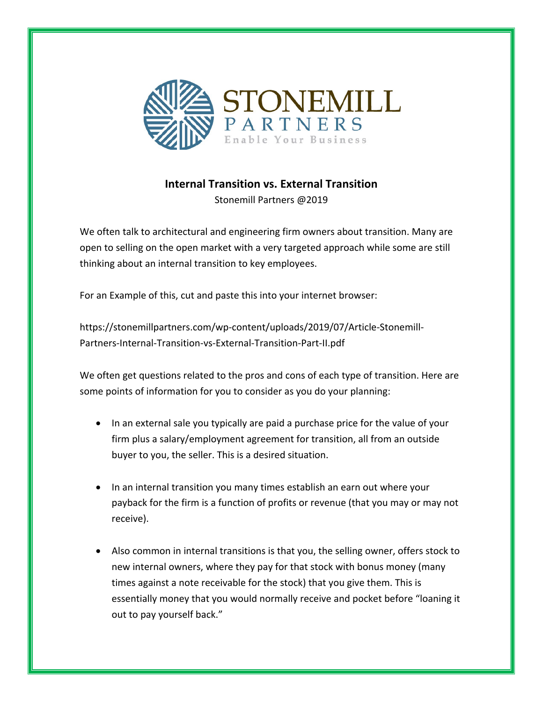

## **Internal Transition vs. External Transition**

Stonemill Partners @2019

We often talk to architectural and engineering firm owners about transition. Many are open to selling on the open market with a very targeted approach while some are still thinking about an internal transition to key employees.

For an Example of this, cut and paste this into your internet browser:

https://stonemillpartners.com/wp-content/uploads/2019/07/Article-Stonemill-Partners-Internal-Transition-vs-External-Transition-Part-II.pdf

We often get questions related to the pros and cons of each type of transition. Here are some points of information for you to consider as you do your planning:

- In an external sale you typically are paid a purchase price for the value of your firm plus a salary/employment agreement for transition, all from an outside buyer to you, the seller. This is a desired situation.
- In an internal transition you many times establish an earn out where your payback for the firm is a function of profits or revenue (that you may or may not receive).
- Also common in internal transitions is that you, the selling owner, offers stock to new internal owners, where they pay for that stock with bonus money (many times against a note receivable for the stock) that you give them. This is essentially money that you would normally receive and pocket before "loaning it out to pay yourself back."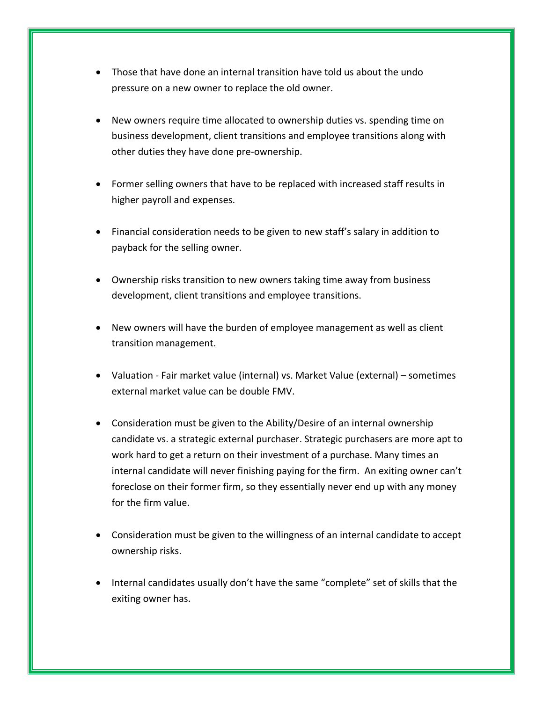- Those that have done an internal transition have told us about the undo pressure on a new owner to replace the old owner.
- New owners require time allocated to ownership duties vs. spending time on business development, client transitions and employee transitions along with other duties they have done pre-ownership.
- Former selling owners that have to be replaced with increased staff results in higher payroll and expenses.
- Financial consideration needs to be given to new staff's salary in addition to payback for the selling owner.
- Ownership risks transition to new owners taking time away from business development, client transitions and employee transitions.
- New owners will have the burden of employee management as well as client transition management.
- Valuation Fair market value (internal) vs. Market Value (external) sometimes external market value can be double FMV.
- Consideration must be given to the Ability/Desire of an internal ownership candidate vs. a strategic external purchaser. Strategic purchasers are more apt to work hard to get a return on their investment of a purchase. Many times an internal candidate will never finishing paying for the firm. An exiting owner can't foreclose on their former firm, so they essentially never end up with any money for the firm value.
- Consideration must be given to the willingness of an internal candidate to accept ownership risks.
- Internal candidates usually don't have the same "complete" set of skills that the exiting owner has.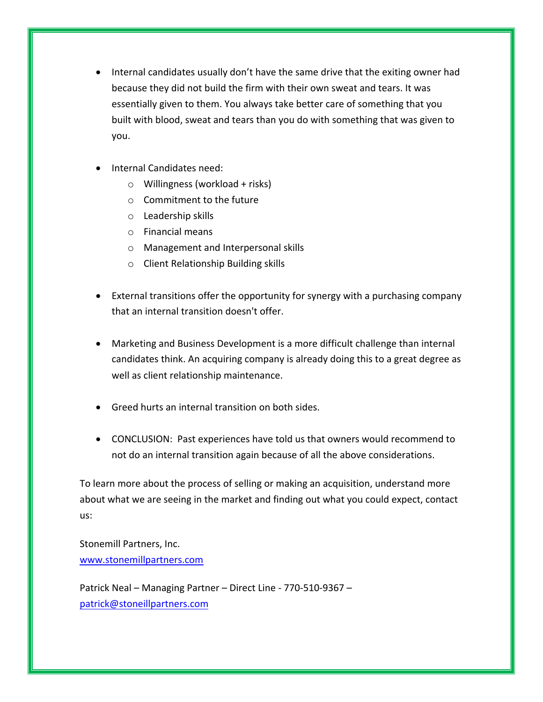- Internal candidates usually don't have the same drive that the exiting owner had because they did not build the firm with their own sweat and tears. It was essentially given to them. You always take better care of something that you built with blood, sweat and tears than you do with something that was given to you.
- Internal Candidates need:
	- $\circ$  Willingness (workload + risks)
	- $\circ$  Commitment to the future
	- $\circ$  Leadership skills
	- $\circ$  Financial means
	- o Management and Interpersonal skills
	- $\circ$  Client Relationship Building skills
- External transitions offer the opportunity for synergy with a purchasing company that an internal transition doesn't offer.
- Marketing and Business Development is a more difficult challenge than internal candidates think. An acquiring company is already doing this to a great degree as well as client relationship maintenance.
- Greed hurts an internal transition on both sides.
- CONCLUSION: Past experiences have told us that owners would recommend to not do an internal transition again because of all the above considerations.

To learn more about the process of selling or making an acquisition, understand more about what we are seeing in the market and finding out what you could expect, contact us:

Stonemill Partners, Inc. www.stonemillpartners.com

Patrick Neal – Managing Partner – Direct Line - 770-510-9367 – patrick@stoneillpartners.com